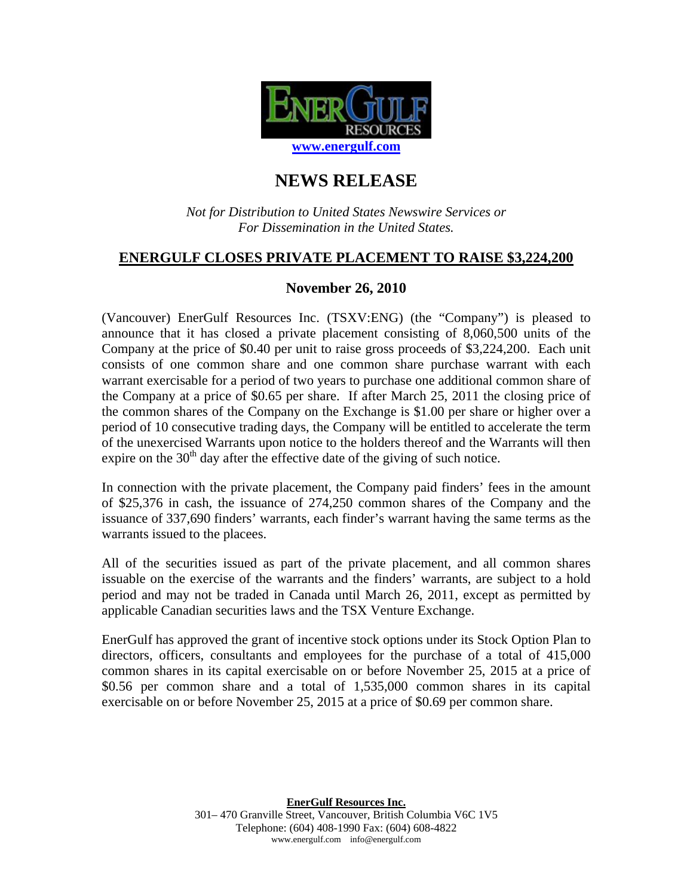

# **NEWS RELEASE**

#### *Not for Distribution to United States Newswire Services or For Dissemination in the United States.*

## **ENERGULF CLOSES PRIVATE PLACEMENT TO RAISE \$3,224,200**

### **November 26, 2010**

(Vancouver) EnerGulf Resources Inc. (TSXV:ENG) (the "Company") is pleased to announce that it has closed a private placement consisting of 8,060,500 units of the Company at the price of \$0.40 per unit to raise gross proceeds of \$3,224,200. Each unit consists of one common share and one common share purchase warrant with each warrant exercisable for a period of two years to purchase one additional common share of the Company at a price of \$0.65 per share. If after March 25, 2011 the closing price of the common shares of the Company on the Exchange is \$1.00 per share or higher over a period of 10 consecutive trading days, the Company will be entitled to accelerate the term of the unexercised Warrants upon notice to the holders thereof and the Warrants will then expire on the  $30<sup>th</sup>$  day after the effective date of the giving of such notice.

In connection with the private placement, the Company paid finders' fees in the amount of \$25,376 in cash, the issuance of 274,250 common shares of the Company and the issuance of 337,690 finders' warrants, each finder's warrant having the same terms as the warrants issued to the placees.

All of the securities issued as part of the private placement, and all common shares issuable on the exercise of the warrants and the finders' warrants, are subject to a hold period and may not be traded in Canada until March 26, 2011, except as permitted by applicable Canadian securities laws and the TSX Venture Exchange.

EnerGulf has approved the grant of incentive stock options under its Stock Option Plan to directors, officers, consultants and employees for the purchase of a total of 415,000 common shares in its capital exercisable on or before November 25, 2015 at a price of \$0.56 per common share and a total of 1,535,000 common shares in its capital exercisable on or before November 25, 2015 at a price of \$0.69 per common share.